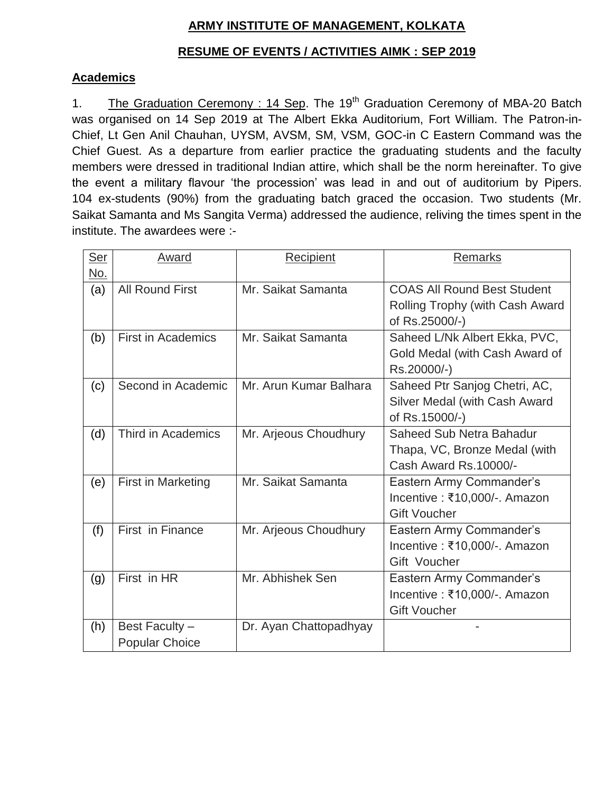## **ARMY INSTITUTE OF MANAGEMENT, KOLKATA**

# **RESUME OF EVENTS / ACTIVITIES AIMK : SEP 2019**

### **Academics**

1. The Graduation Ceremony : 14 Sep. The 19<sup>th</sup> Graduation Ceremony of MBA-20 Batch was organised on 14 Sep 2019 at The Albert Ekka Auditorium, Fort William. The Patron-in-Chief, Lt Gen Anil Chauhan, UYSM, AVSM, SM, VSM, GOC-in C Eastern Command was the Chief Guest. As a departure from earlier practice the graduating students and the faculty members were dressed in traditional Indian attire, which shall be the norm hereinafter. To give the event a military flavour "the procession" was lead in and out of auditorium by Pipers. 104 ex-students (90%) from the graduating batch graced the occasion. Two students (Mr. Saikat Samanta and Ms Sangita Verma) addressed the audience, reliving the times spent in the institute. The awardees were :-

| <b>Ser</b> | Award                     | Recipient              | <b>Remarks</b>                     |
|------------|---------------------------|------------------------|------------------------------------|
| <u>No.</u> |                           |                        |                                    |
| (a)        | <b>All Round First</b>    | Mr. Saikat Samanta     | <b>COAS All Round Best Student</b> |
|            |                           |                        | Rolling Trophy (with Cash Award    |
|            |                           |                        | of Rs.25000/-)                     |
| (b)        | <b>First in Academics</b> | Mr. Saikat Samanta     | Saheed L/Nk Albert Ekka, PVC,      |
|            |                           |                        | Gold Medal (with Cash Award of     |
|            |                           |                        | Rs.20000/-)                        |
| (c)        | Second in Academic        | Mr. Arun Kumar Balhara | Saheed Ptr Sanjog Chetri, AC,      |
|            |                           |                        | Silver Medal (with Cash Award      |
|            |                           |                        | of Rs.15000/-)                     |
| (d)        | Third in Academics        | Mr. Arjeous Choudhury  | Saheed Sub Netra Bahadur           |
|            |                           |                        | Thapa, VC, Bronze Medal (with      |
|            |                           |                        | Cash Award Rs.10000/-              |
| (e)        | <b>First in Marketing</b> | Mr. Saikat Samanta     | Eastern Army Commander's           |
|            |                           |                        | Incentive : ₹10,000/-. Amazon      |
|            |                           |                        | <b>Gift Voucher</b>                |
| (f)        | First in Finance          | Mr. Arjeous Choudhury  | Eastern Army Commander's           |
|            |                           |                        | Incentive : ₹10,000/-. Amazon      |
|            |                           |                        | Gift Voucher                       |
| (g)        | First in HR               | Mr. Abhishek Sen       | Eastern Army Commander's           |
|            |                           |                        | Incentive : ₹10,000/-. Amazon      |
|            |                           |                        | <b>Gift Voucher</b>                |
| (h)        | Best Faculty -            | Dr. Ayan Chattopadhyay |                                    |
|            | <b>Popular Choice</b>     |                        |                                    |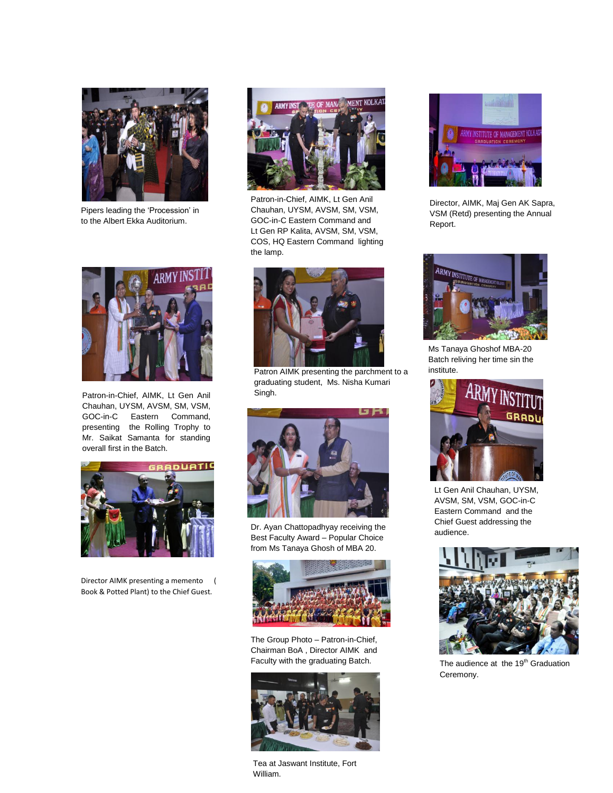

Pipers leading the "Procession" in to the Albert Ekka Auditorium.



Patron-in-Chief, AIMK, Lt Gen Anil Chauhan, UYSM, AVSM, SM, VSM, GOC-in-C Eastern Command, presenting the Rolling Trophy to Mr. Saikat Samanta for standing overall first in the Batch.



Director AIMK presenting a memento ( Book & Potted Plant) to the Chief Guest.



Patron-in-Chief, AIMK, Lt Gen Anil Chauhan, UYSM, AVSM, SM, VSM, GOC-in-C Eastern Command and Lt Gen RP Kalita, AVSM, SM, VSM, COS, HQ Eastern Command lighting the lamp.



Patron AIMK presenting the parchment to a graduating student, Ms. Nisha Kumari Singh.



Dr. Ayan Chattopadhyay receiving the Best Faculty Award – Popular Choice from Ms Tanaya Ghosh of MBA 20.



The Group Photo – Patron-in-Chief, Chairman BoA , Director AIMK and Faculty with the graduating Batch.



Tea at Jaswant Institute, Fort William.



Director, AIMK, Maj Gen AK Sapra, VSM (Retd) presenting the Annual Report.



Ms Tanaya Ghoshof MBA-20 Batch reliving her time sin the institute.



Lt Gen Anil Chauhan, UYSM, AVSM, SM, VSM, GOC-in-C Eastern Command and the Chief Guest addressing the audience.



The audience at the 19<sup>th</sup> Graduation Ceremony.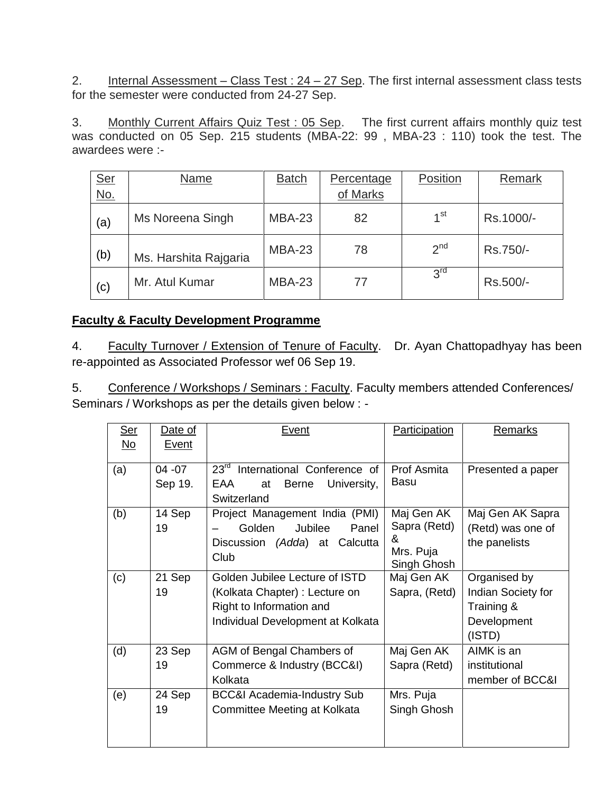2. Internal Assessment – Class Test :  $24 - 27$  Sep. The first internal assessment class tests for the semester were conducted from 24-27 Sep.

3. Monthly Current Affairs Quiz Test : 05 Sep. The first current affairs monthly quiz test was conducted on 05 Sep. 215 students (MBA-22: 99 , MBA-23 : 110) took the test. The awardees were :-

| Ser<br>No. | Name                  | <b>Batch</b>  | Percentage | Position        | Remark    |
|------------|-----------------------|---------------|------------|-----------------|-----------|
|            |                       |               | of Marks   |                 |           |
| (a)        | Ms Noreena Singh      | <b>MBA-23</b> | 82         | 1 <sup>st</sup> | Rs.1000/- |
| (b)        | Ms. Harshita Rajgaria | <b>MBA-23</b> | 78         | $2^{nd}$        | Rs.750/-  |
| (c)        | Mr. Atul Kumar        | <b>MBA-23</b> | 77         | 3 <sup>rd</sup> | Rs.500/-  |

### **Faculty & Faculty Development Programme**

4. Faculty Turnover / Extension of Tenure of Faculty. Dr. Ayan Chattopadhyay has been re-appointed as Associated Professor wef 06 Sep 19.

5. Conference / Workshops / Seminars : Faculty. Faculty members attended Conferences/ Seminars / Workshops as per the details given below : -

| Ser       | Date of      | Event                                        | Participation  | Remarks            |
|-----------|--------------|----------------------------------------------|----------------|--------------------|
| <u>No</u> | <b>Event</b> |                                              |                |                    |
| (a)       | $04 - 07$    | 23 <sup>rd</sup> International Conference of | Prof Asmita    | Presented a paper  |
|           | Sep 19.      | EAA<br><b>Berne</b><br>University,<br>at     | <b>Basu</b>    |                    |
|           |              | Switzerland                                  |                |                    |
| (b)       | 14 Sep       | Project Management India (PMI)               | Maj Gen AK     | Maj Gen AK Sapra   |
|           | 19           | Jubilee<br>Golden<br>Panel                   | Sapra (Retd)   | (Retd) was one of  |
|           |              | (Adda) at Calcutta<br><b>Discussion</b>      | &<br>Mrs. Puja | the panelists      |
|           |              | Club                                         | Singh Ghosh    |                    |
| (c)       | 21 Sep       | Golden Jubilee Lecture of ISTD               | Maj Gen AK     | Organised by       |
|           | 19           | (Kolkata Chapter) : Lecture on               | Sapra, (Retd)  | Indian Society for |
|           |              | Right to Information and                     |                | Training &         |
|           |              | Individual Development at Kolkata            |                | Development        |
|           |              |                                              |                | (ISTD)             |
| (d)       | 23 Sep       | AGM of Bengal Chambers of                    | Maj Gen AK     | AIMK is an         |
|           | 19           | Commerce & Industry (BCC&I)                  | Sapra (Retd)   | institutional      |
|           |              | Kolkata                                      |                | member of BCC&I    |
| (e)       | 24 Sep       | <b>BCC&amp;I Academia-Industry Sub</b>       | Mrs. Puja      |                    |
|           | 19           | Committee Meeting at Kolkata                 | Singh Ghosh    |                    |
|           |              |                                              |                |                    |
|           |              |                                              |                |                    |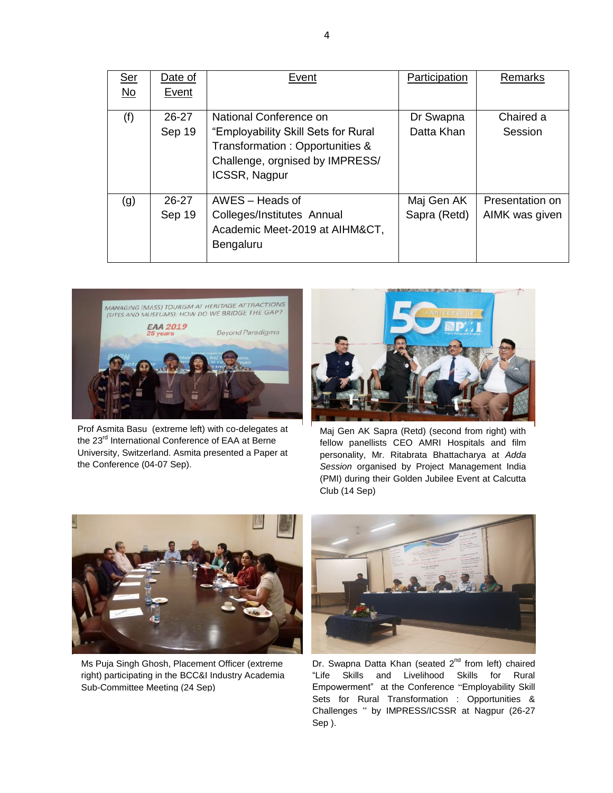| <u>Ser</u><br>No | Date of<br>Event    | Event                                                                                                                                                       | Participation              | Remarks                           |
|------------------|---------------------|-------------------------------------------------------------------------------------------------------------------------------------------------------------|----------------------------|-----------------------------------|
| (f)              | $26 - 27$<br>Sep 19 | National Conference on<br>"Employability Skill Sets for Rural<br>Transformation: Opportunities &<br>Challenge, orgnised by IMPRESS/<br><b>ICSSR, Nagpur</b> | Dr Swapna<br>Datta Khan    | Chaired a<br>Session              |
| (g)              | 26-27<br>Sep 19     | AWES - Heads of<br>Colleges/Institutes Annual<br>Academic Meet-2019 at AIHM&CT,<br>Bengaluru                                                                | Maj Gen AK<br>Sapra (Retd) | Presentation on<br>AIMK was given |



Prof Asmita Basu (extreme left) with co-delegates at the 23<sup>rd</sup> International Conference of EAA at Berne University, Switzerland. Asmita presented a Paper at the Conference (04-07 Sep).



Maj Gen AK Sapra (Retd) (second from right) with fellow panellists CEO AMRI Hospitals and film personality, Mr. Ritabrata Bhattacharya at *Adda Session* organised by Project Management India (PMI) during their Golden Jubilee Event at Calcutta Club (14 Sep)



Ms Puja Singh Ghosh, Placement Officer (extreme right) participating in the BCC&I Industry Academia Sub-Committee Meeting (24 Sep)



Dr. Swapna Datta Khan (seated 2<sup>nd</sup> from left) chaired "Life Skills and Livelihood Skills for Rural Empowerment" at the Conference "Employability Skill Sets for Rural Transformation : Opportunities & Challenges " by IMPRESS/ICSSR at Nagpur (26-27 Sep ).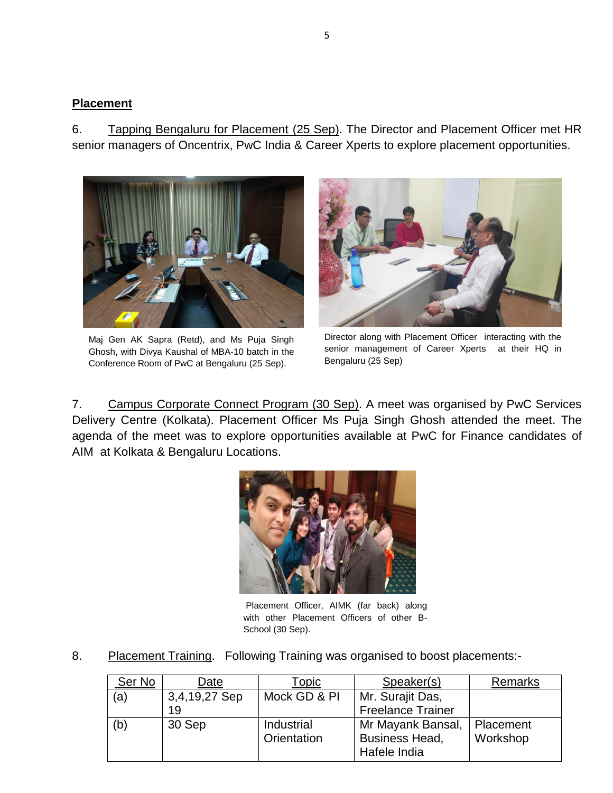#### **Placement**

6. Tapping Bengaluru for Placement (25 Sep). The Director and Placement Officer met HR senior managers of Oncentrix, PwC India & Career Xperts to explore placement opportunities.



Maj Gen AK Sapra (Retd), and Ms Puja Singh Ghosh, with Divya Kaushal of MBA-10 batch in the Conference Room of PwC at Bengaluru (25 Sep).



Director along with Placement Officer interacting with the senior management of Career Xperts at their HQ in Bengaluru (25 Sep)

7. Campus Corporate Connect Program (30 Sep). A meet was organised by PwC Services Delivery Centre (Kolkata). Placement Officer Ms Puja Singh Ghosh attended the meet. The agenda of the meet was to explore opportunities available at PwC for Finance candidates of AIM at Kolkata & Bengaluru Locations.



Placement Officer, AIMK (far back) along with other Placement Officers of other B-School (30 Sep).

8. Placement Training. Following Training was organised to boost placements:-

| Ser No | Date          | Topic        | Speaker(s)               | Remarks   |
|--------|---------------|--------------|--------------------------|-----------|
| (a)    | 3,4,19,27 Sep | Mock GD & PI | Mr. Surajit Das,         |           |
|        | 19            |              | <b>Freelance Trainer</b> |           |
| (b)    | 30 Sep        | Industrial   | Mr Mayank Bansal,        | Placement |
|        |               | Orientation  | <b>Business Head,</b>    | Workshop  |
|        |               |              | Hafele India             |           |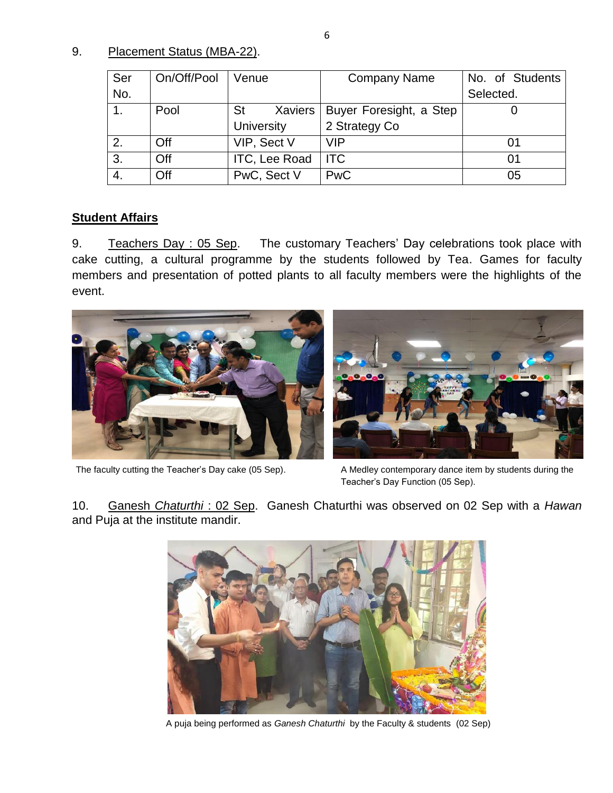9. Placement Status (MBA-22).

| Ser | On/Off/Pool | Venue                | <b>Company Name</b>     | No. of Students |
|-----|-------------|----------------------|-------------------------|-----------------|
| No. |             |                      |                         | Selected.       |
|     | Pool        | <b>St</b><br>Xaviers | Buyer Foresight, a Step |                 |
|     |             | University           | 2 Strategy Co           |                 |
| 2.  | Off         | VIP, Sect V          | <b>VIP</b>              | 01              |
| 3.  | Off         | ITC, Lee Road        | <b>ITC</b>              | 01              |
| 4.  | Off         | PwC, Sect V          | <b>PwC</b>              | 05              |

## **Student Affairs**

9. Teachers Day : 05 Sep. The customary Teachers' Day celebrations took place with cake cutting, a cultural programme by the students followed by Tea. Games for faculty members and presentation of potted plants to all faculty members were the highlights of the event.



The faculty cutting the Teacher's Day cake (05 Sep). A Medley contemporary dance item by students during the

Teacher"s Day Function (05 Sep).

10. Ganesh *Chaturthi* : 02 Sep. Ganesh Chaturthi was observed on 02 Sep with a *Hawan* and Puja at the institute mandir.



A puja being performed as *Ganesh Chaturthi* by the Faculty & students (02 Sep)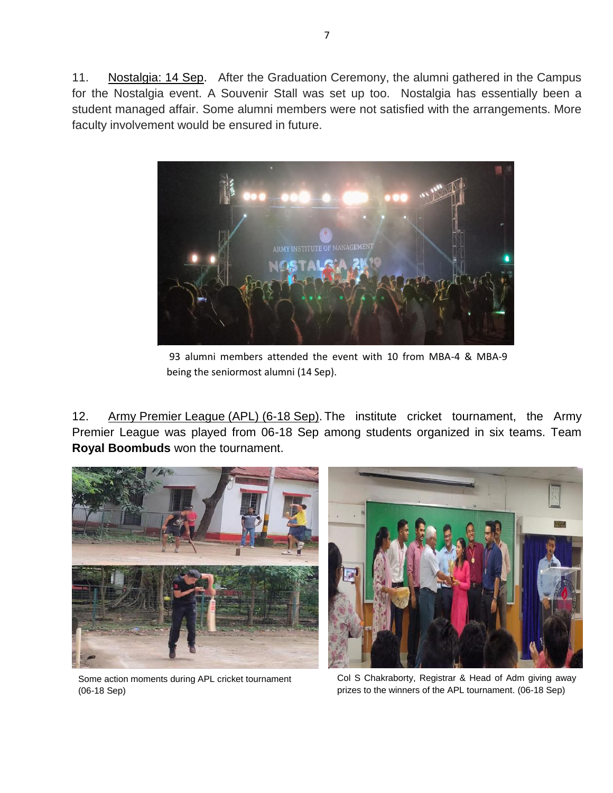11. Nostalgia: 14 Sep. After the Graduation Ceremony, the alumni gathered in the Campus for the Nostalgia event. A Souvenir Stall was set up too. Nostalgia has essentially been a student managed affair. Some alumni members were not satisfied with the arrangements. More faculty involvement would be ensured in future.



93 alumni members attended the event with 10 from MBA-4 & MBA-9 being the seniormost alumni (14 Sep).

12. Army Premier League (APL) (6-18 Sep). The institute cricket tournament, the Army Premier League was played from 06-18 Sep among students organized in six teams. Team **Royal Boombuds** won the tournament.





Some action moments during APL cricket tournament (06-18 Sep)

Col S Chakraborty, Registrar & Head of Adm giving away prizes to the winners of the APL tournament. (06-18 Sep)